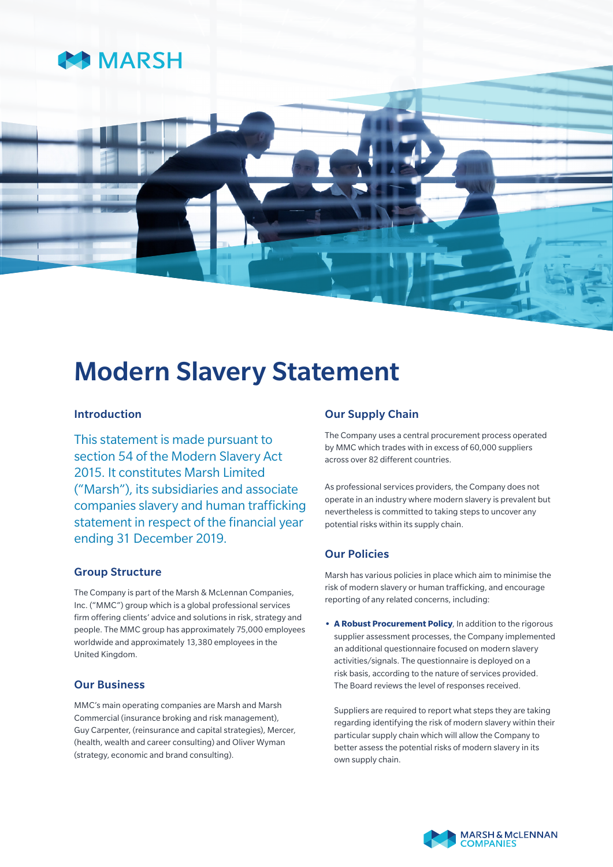

# Modern Slavery Statement

# Introduction

This statement is made pursuant to section 54 of the Modern Slavery Act 2015. It constitutes Marsh Limited ("Marsh"), its subsidiaries and associate companies slavery and human trafficking statement in respect of the financial year ending 31 December 2019.

# Group Structure

The Company is part of the Marsh & McLennan Companies, Inc. ("MMC") group which is a global professional services firm offering clients' advice and solutions in risk, strategy and people. The MMC group has approximately 75,000 employees worldwide and approximately 13,380 employees in the United Kingdom.

# Our Business

MMC's main operating companies are Marsh and Marsh Commercial (insurance broking and risk management), Guy Carpenter, (reinsurance and capital strategies), Mercer, (health, wealth and career consulting) and Oliver Wyman (strategy, economic and brand consulting).

# Our Supply Chain

The Company uses a central procurement process operated by MMC which trades with in excess of 60,000 suppliers across over 82 different countries.

As professional services providers, the Company does not operate in an industry where modern slavery is prevalent but nevertheless is committed to taking steps to uncover any potential risks within its supply chain.

# Our Policies

Marsh has various policies in place which aim to minimise the risk of modern slavery or human trafficking, and encourage reporting of any related concerns, including:

**• A Robust Procurement Policy**, In addition to the rigorous supplier assessment processes, the Company implemented an additional questionnaire focused on modern slavery activities/signals. The questionnaire is deployed on a risk basis, according to the nature of services provided. The Board reviews the level of responses received.

Suppliers are required to report what steps they are taking regarding identifying the risk of modern slavery within their particular supply chain which will allow the Company to better assess the potential risks of modern slavery in its own supply chain.